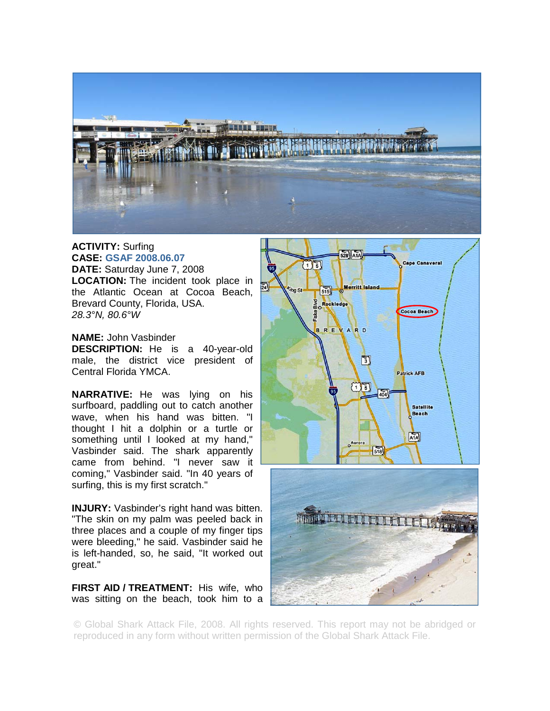

## **ACTIVITY:** Surfing **CASE: GSAF 2008.06.07**

**DATE:** Saturday June 7, 2008 **LOCATION:** The incident took place in the Atlantic Ocean at Cocoa Beach, Brevard County, Florida, USA. *28.3°N, 80.6°W* 

## **NAME:** John Vasbinder

**DESCRIPTION:** He is a 40-year-old male, the district vice president of Central Florida YMCA.

**NARRATIVE:** He was lying on his surfboard, paddling out to catch another wave, when his hand was bitten. "I thought I hit a dolphin or a turtle or something until I looked at my hand," Vasbinder said. The shark apparently came from behind. "I never saw it coming," Vasbinder said. "In 40 years of surfing, this is my first scratch."

**INJURY:** Vasbinder's right hand was bitten. "The skin on my palm was peeled back in three places and a couple of my finger tips were bleeding," he said. Vasbinder said he is left-handed, so, he said, "It worked out great."

**FIRST AID / TREATMENT:** His wife, who was sitting on the beach, took him to a



© Global Shark Attack File, 2008. All rights reserved. This report may not be abridged or reproduced in any form without written permission of the Global Shark Attack File.